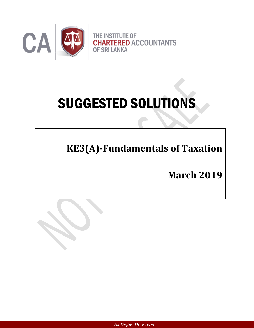

# SUGGESTED SOLUTIONS

**KE3(A)-Fundamentals of Taxation** 

**March 2019**



*All Rights Reserved*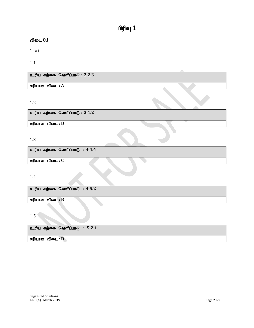# $\mathbf{u}$ ரிவு  $\mathbf{1}$

## $\mathbf{a}$ ிடை  $01$

1 (a)

1.1

உரிய கற்கை வெளிப்பாடு : 2.2.3

 $\sigma$ ரியான விடை :  $A$ 

1.2

உரிய கற்கை வெளிப்பாடு : 3.1.2

சரியான விடை : **D** 

# 1.3

உரிய கற்கை வெளிப்பாடு : 4.4.4

சரியான விடை : C

1.4

உரிய கற்கை வெளிப்பாடு : 4.5.2 சரியான விடை : B

1.5

உரிய கற்கை வெளிப்பாடு : 5.2.1

சரியான விடை : **D**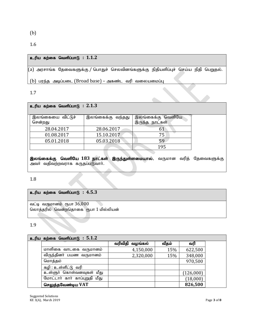1.6

# உரிய கற்கை வெளிப்பாடு **:** 1.1.2

.<br>(a) அரசாங்க தேவைகளுக்கு / பொதுச் செலவினங்களுக்கு நிதியளிப்புச் செய்ய நிதி பெறுதல்.

(b) பரந்த அடிப்படை  $(Broad base)$  – அகண்ட வரி வலையமைப்பு

1.7

# $p$ **.** சிய கற்கை வெளிப்பாடு :  $2.1.3$

| இலங்கையை விட்டுச்<br>சென்றது | இலங்கைக்கு வந்தது | இலங்கைக்கு வெளியே<br>இருந்த நாட்கள் |
|------------------------------|-------------------|-------------------------------------|
| 28.04.2017                   | 28.06.2017        | 61                                  |
| 01.08.2017                   | 15.10.2017        | 75                                  |
| 05.01.2018                   | 05.03.2018        | 59                                  |
|                              |                   | 195                                 |

இலங்கைக்கு வெளியே 183 நாட்கள் இருந்துள்ளமையால், வருமான வரித் தேவைகளுக்கு அவர் வதிவற்றவராக கருதப்படுவார்.

### 1.8

# உரிய கற்கை வெளிப்பாடு :  $4.5.3$

வட்டி வருமானம் ரூபா $36,000$ லொத்தரில் வென்றதொகை ரூபா 1 மில்லியன்

1.9

|         | உரிய கற்கை வெளிப்பாடு : $5.1.2$ |         |           |       |           |
|---------|---------------------------------|---------|-----------|-------|-----------|
|         |                                 | வரிவிதி | வழங்கல்   | வீதம் | வரி       |
|         | மாளிகை வாடகை வருமானம்           |         | 4,150,000 | 15%   | 622,500   |
|         | விருந்தினா் பயண வருமானம்        |         | 2,320,000 | 15%   | 348,000   |
| மொத்தம் |                                 |         |           |       | 970,500   |
|         | கழி : உள்ளீட்டு வரி             |         |           |       |           |
|         | உள்ளுா் கொள்வனவுகள் மீது        |         |           |       | (126,000) |
|         | மோட்டார் கார் காப்புறுதி மீது   |         |           |       | (18,000)  |
|         | செலுத்தவேண்டிய VAT              |         |           |       | 826,500   |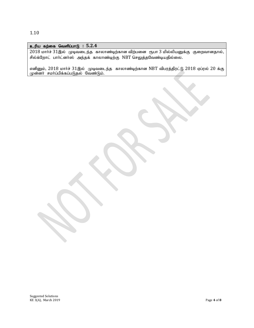1.10

### உரிய கற்கை வெளிப்பாடு : 5.2.4

 $2018$  மார்ச்  $31$ இல் முடிவடைந்த காலாண்டிற்கான விற்பனை ரூபா  $3$  மில்லியனுக்கு குறைவானதால், சில்க்றோட் பார்ட்னர்ஸ் அந்தக் காலாண்டிற்கு NBT செலுத்தவேண்டியதில்லை.

எனினும், 2018 மார்ச் 31இல் முடிவடைந்த காலாண்டிற்கான NBT விபரத்திரட்டு 2018 ஏப்ரல் 20 க்கு முன்னர் சமர்ப்பிக்கப்படுதல் வேண்டும்.

Suggested Solutions KE 3(A), March 2019 Page **4** of **8**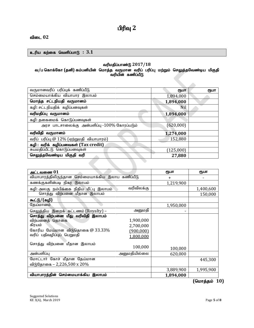# **பிரிவு** 2

### விடை 02

### உரிய கற்கை வெளிப்பாடு :  $3.1$

### வரிமதிப்பாண்டு 2017/18

### வ/ப கொக்கோ (தனி) கம்பனியின் மொத்த வருமான வரிப் பரிப்பு மற்றும் செலுத்தவேண்டிய மிகுதி வரியின் கணிப்பீடு

| வருமானவரிப் பரிப்புக் கணிப்பீடு             | ரூபா      | ரூபா |
|---------------------------------------------|-----------|------|
| செம்மையாக்கிய வியாபார இலாபம்                | 1,894,000 |      |
| மொத்த சட்டநியதி வருமானம்                    | 1,894,000 |      |
| கழி: சட்டநியதிக் கழிப்பனவுகள்               | Nil       |      |
| வரிமதிப்பு வருமானம்                         | 1,894,000 |      |
| கழி: தகைமைக் கொடுப்பனவுகள்                  |           |      |
| அரச பாடசாலைக்கு அன்பளிப்பு -100% கோரப்படும் | (620,000) |      |
| வரிவிதி வருமானம்                            | 1,274,000 |      |
| வரிப் பரிப்பு @ 12% (ஏற்றுமதி வியாபாரம்)    | 152,880   |      |
| கழி: வரிக் கழிப்பனவகள் (Tax credit)         |           |      |
| சுயமதிப்பீட்டு கொடுப்பனவுகள்                | (125,000) |      |
| செலுத்தவேண்டிய மிகுதி வரி                   | 27,880    |      |
|                                             |           |      |

| அட்டவணை $01$                                      |                  | ரூபா      | ரூபா      |
|---------------------------------------------------|------------------|-----------|-----------|
| வியாபாரத்திலிருந்தான செம்மையாக்கிய இலாப கணிப்பீடு |                  | $\ddot{}$ |           |
| கணக்குகளின்படி நிகர இலாபம்                        |                  | 1,219,900 |           |
| கழி: அலகு நம்பிக்கை நிதிய மீட்பு இலாபம்           | வரிவிலக்கு       |           | 1,400,600 |
| சொத்து விற்பனை மீதான இலாபம்                       |                  |           | 150,000   |
| கூட்டு/(கழி)                                      |                  |           |           |
| தேய்மானம்                                         |                  | 1,950,000 |           |
| செலுத்திய இறைக் கட்டணம் (Royalty) –               | அனுமதி           |           |           |
| சொத்து விற்பனை மீது வரிவிதி இலாபம்                |                  |           |           |
| விற்பனைத் தொகை                                    | 1,900,000        |           |           |
| கிரயம்                                            | 2,700,000        |           |           |
| கோரிய மேய்மான விடுதொகை $@33.33\%$                 | <u>(900,000)</u> |           |           |
| வரிப் பதிவழிப்புப் பெறுமதி                        | 1,800,000        |           |           |
| சொத்து விற்பனை மீதான இலாபம்                       |                  |           |           |
|                                                   | 100,000          | 100,000   |           |
| அன்பளிப்பு                                        | அனுமதியில்லை     | 620,000   |           |
| மோட்டார் கோச் மீதான தேய்மான                       |                  |           | 445,300   |
| விடுதோகை – 2,226,500 x 20%                        |                  |           |           |
|                                                   |                  | 3,889,900 | 1,995,900 |
| வியாபாரத்தின் செம்மையாக்கிய இலாபம்                |                  | 1,894,000 |           |

**(மொத்தம் 10)**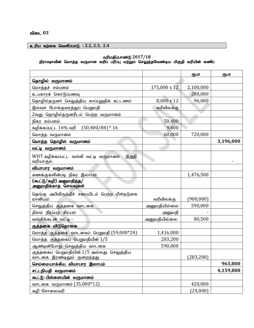# உரிய கற்கை வெளிப்பாடு : 2.2, 2.3, 2.4

### வரிமதிப்பாண்டு  $2017/18$

#### நிராஷாவின் மொத்த வருமான வரிப் பரிப்பு மற்றும் செலுத்தவேண்டிய மிகுதி வரியின் கணிப்

|                                                                          |              | ரூபா      | ரூபா      |
|--------------------------------------------------------------------------|--------------|-----------|-----------|
| தொழில் வருமானம்                                                          |              |           |           |
| மொத்தச் சம்பளம்                                                          | 175,000 x 12 | 2,100,000 |           |
| உபகாரக் கொடுப்பனவு                                                       |              | 280,000   |           |
| தொழில்தருனா் செலுத்திய காப்புறுதிக் கட்டணம்                              | 8,000 x 12   | 96,000    |           |
| இலவச போக்குவரத்துப் பெறுமதி                                              | வரிவிலக்கு   |           |           |
| 2வது தொழில்தருனரிடம் பெற்ற வருமானம்                                      |              |           |           |
| நிகர சம்பளம்                                                             | 50,400       |           |           |
| கழிக்கப்பட்ட $16\%$ வரி $(50,400/84)*16$                                 | 9,600        |           |           |
| மொத்த வருமானம்                                                           | 60,000       | 720,000   |           |
| மொத்த தொழில் வருமானம்                                                    |              |           | 3,196,000 |
| வட்டி வருமானம்                                                           |              |           |           |
| WHT கழிக்கப்பட்ட வங்கி வட்டி வருமானம்<br>இறுதி<br>வரியாகும்.             |              |           |           |
| வியாபார வருமானம்                                                         |              |           |           |
| கணக்குகளின்படி நிகர இலாபம்                                               |              | 1,476,500 |           |
| (கூட்டு/கழி) அனுமதித்த/<br>அனுமதிக்காத செலவுகள்                          |              |           |           |
| தெங்கு அபிவிருத்திச் சபையிடம் பெற்ற மீள்நடுகை<br>மானியம்                 | வரிவிலக்கு   | (900,000) |           |
| செலுத்திய குத்தகை வாடகை                                                  | அனுமதியில்லை | 590,000   |           |
| நிலம் நிரப்பற் கிரயம்                                                    | அனுமதி       |           |           |
| வங்கிக்கடன் வட்டி –                                                      | அனுமதியில்லை | 80,500    |           |
| குத்தகை விடுதொகை                                                         |              |           |           |
| மொத்த குத்தகை வாடகைப் பெறுமதி (59,000*24)                                | 1,416,000    |           |           |
| மொத்த குத்தகைப் பெறுமதியின் 1/5                                          | 283,200      |           |           |
| ஆண்டின்போது செலுத்திய வாடகை                                              | 590,000      |           |           |
| குத்தகைப் பெறுமதியின் 1/5 அல்லது செலுத்திய<br>வாடகை இரண்டிலும் குறைந்தது |              | (283,200) |           |
| செம்மையாக்கிய வியாபார இலாபம்                                             |              |           | 963,800   |
| சட்டநியதி வருமானம்                                                       |              |           | 4,159,800 |
| கூட்டு: பிள்ளையின் வருமானம்                                              |              |           |           |
| வாடகை வருமானம் (35,000*12)                                               |              | 420,000   |           |
| கழி: சோலைவரி                                                             |              | (24,000)  |           |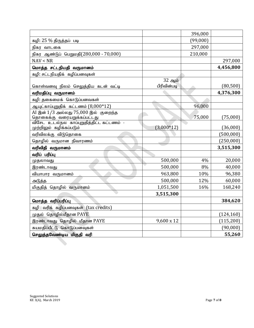|                                                                    |              | 396,000  |            |
|--------------------------------------------------------------------|--------------|----------|------------|
| கழி: 25 % திருத்தப் படி                                            |              | (99,000) |            |
| நிகர வாடகை                                                         |              | 297,000  |            |
| நிகர ஆண்டுப் பெறுமதி(280,000 - 70,000)                             |              | 210,000  |            |
| NAV < NR                                                           |              |          | 297,000    |
| மொத்த சட்டநியதி வருமானம்                                           |              |          | 4,456,800  |
| கழி: சட்டநியதிக் கழிப்பனவுகள்                                      |              |          |            |
|                                                                    | 32 ஆம்       |          |            |
| கொள்வனவு நிலம் செலுத்திய கடன் வட்டி                                | பிரிவின்படி  |          | (80, 500)  |
| வரிமதிப்பு வருமானம்                                                |              |          | 4,376,300  |
| கழி: தகைமைக் கொடுப்பனவகள்                                          |              |          |            |
| ஆயுட்காப்புறுதிக் கட்டணம் $(8,000*12)$                             |              | 96,000   |            |
| AI இன் 1/3 அல்லது 75,000 இல் குறைந்த<br>தொகைக்கு வரையறுக்கப்பட்டது |              | 75,000   | (75,000)   |
| விசேட உடல்நல காப்புறுதித்திட்ட கட்டணம் -                           |              |          |            |
| முற்றிலும் கழிக்கப்படும்                                           | $(3,000*12)$ |          | (36,000)   |
| வரிவிலக்கு விடுதொகை                                                |              |          | (500, 000) |
| தொழில் வருமான நிவாரணம்                                             |              |          | (250,000)  |
| வரிவிதி வருமானம்                                                   |              |          | 3,515,300  |
| வரிப் பரிப்பு                                                      |              |          |            |
| முதலாவது                                                           | 500,000      | 4%       | 20,000     |
| இரண்டாவது                                                          | 500,000      | 8%       | 40,000     |
| வியாபார வருமானம்                                                   | 963,800      | 10%      | 96,380     |
| அடுத்த                                                             | 500,000      | 12%      | 60,000     |
| மிகுதித் தொழில் வருமானம்                                           | 1,051,500    | 16%      | 168,240    |
|                                                                    | 3,515,300    |          |            |
| மொத்த வரிப்பரிப்பு                                                 |              |          | 384,620    |
| கழி: வரிக் கழிப்பனவுகள் (tax credits)                              |              |          |            |
| முதல் தொழில்மீதான PAYE                                             |              |          | (124, 160) |
| இரண்டாவது தொழில் மீதான PAYE                                        | 9,600 x 12   |          | (115, 200) |
| சுயமதிப்பீட்டு கொடுப்பனவுகள்                                       |              |          | (90,000)   |
| செலுத்தவேண்டிய மிகுதி வரி                                          |              |          | 55,260     |